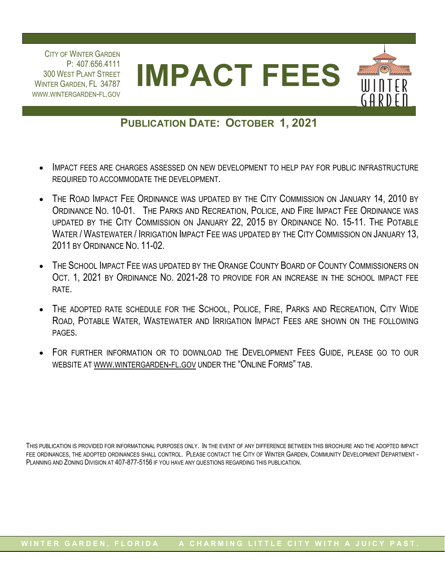P: 407.656.4111 300 WEST PLANT STREET WINTER GARDEN, FL 34787 CITY OF WINTER GARDEN WWW.WINTERGARDEN-FL.GOV



## **PUBLICATION DATE: OCTOBER 1, 2021**

- IMPACT FEES ARE CHARGES ASSESSED ON NEW DEVELOPMENT TO HELP PAY FOR PUBLIC INFRASTRUCTURE REQUIRED TO ACCOMMODATE THE DEVELOPMENT.
- THE ROAD IMPACT FEE ORDINANCE WAS UPDATED BY THE CITY COMMISSION ON JANUARY 14, 2010 BY ORDINANCE NO. 10-01. THE PARKS AND RECREATION, POLICE, AND FIRE IMPACT FEE ORDINANCE WAS UPDATED BY THE CITY COMMISSION ON JANUARY 22, 2015 BY ORDINANCE NO. 15-11. THE POTABLE WATER / WASTEWATER / IRRIGATION IMPACT FEE WAS UPDATED BY THE CITY COMMISSION ON JANUARY 13, 2011 BY ORDINANCE NO. 11-02.
- THE SCHOOL IMPACT FEE WAS UPDATED BY THE ORANGE COUNTY BOARD OF COUNTY COMMISSIONERS ON OCT. 1, 2021 BY ORDINANCE NO. 2021-28 TO PROVIDE FOR AN INCREASE IN THE SCHOOL IMPACT FEE RATE.
- THE ADOPTED RATE SCHEDULE FOR THE SCHOOL, POLICE, FIRE, PARKS AND RECREATION, CITY WIDE ROAD, POTABLE WATER, WASTEWATER AND IRRIGATION IMPACT FEES ARE SHOWN ON THE FOLLOWING PAGES.
- FOR FURTHER INFORMATION OR TO DOWNLOAD THE DEVELOPMENT FEES GUIDE, PLEASE GO TO OUR WEBSITE AT<WWW.WINTERGARDEN-FL.GOV>UNDER THE "ONLINE FORMS" TAB.

THIS PUBLICATION IS PROVIDED FOR INFORMATIONAL PURPOSES ONLY. IN THE EVENT OF ANY DIFFERENCE BETWEEN THIS BROCHURE AND THE ADOPTED IMPACT FEE ORDINANCES, THE ADOPTED ORDINANCES SHALL CONTROL. PLEASE CONTACT THE CITY OF WINTER GARDEN, COMMUNITY DEVELOPMENT DEPARTMENT -PLANNING AND ZONING DIVISION AT 407-877-5156 IF YOU HAVE ANY QUESTIONS REGARDING THIS PUBLICATION.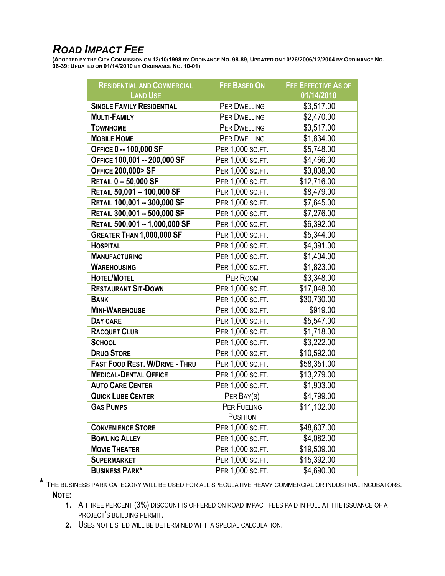## *ROAD IMPACT FEE*

**(ADOPTED BY THE CITY COMMISSION ON 12/10/1998 BY ORDINANCE NO. 98-89, UPDATED ON 10/26/2006/12/2004 BY ORDINANCE NO. 06-39; UPDATED ON 01/14/2010 BY ORDINANCE NO. 10-01)**

| <b>RESIDENTIAL AND COMMERCIAL</b>     | <b>FEE BASED ON</b> | <b>FEE EFFECTIVE AS OF</b> |
|---------------------------------------|---------------------|----------------------------|
| <b>LAND USE</b>                       |                     | 01/14/2010                 |
| <b>SINGLE FAMILY RESIDENTIAL</b>      | <b>PER DWELLING</b> | \$3,517.00                 |
| <b>MULTI-FAMILY</b>                   | PER DWELLING        | \$2,470.00                 |
| <b>TOWNHOME</b>                       | <b>PER DWELLING</b> | \$3,517.00                 |
| <b>MOBILE HOME</b>                    | PER DWELLING        | \$1,834.00                 |
| OFFICE 0 -- 100,000 SF                | PER 1,000 SQ.FT.    | \$5,748.00                 |
| OFFICE 100,001 -- 200,000 SF          | PER 1,000 SQ.FT.    | \$4,466.00                 |
| <b>OFFICE 200,000&gt; SF</b>          | PER 1,000 SQ.FT.    | \$3,808.00                 |
| <b>RETAIL 0 -- 50,000 SF</b>          | PER 1,000 SQ.FT.    | \$12,716.00                |
| RETAIL 50,001 -- 100,000 SF           | PER 1,000 SQ.FT.    | \$8,479.00                 |
| RETAIL 100,001 -- 300,000 SF          | PER 1,000 SQ.FT.    | \$7,645.00                 |
| RETAIL 300,001 -- 500,000 SF          | PER 1,000 SQ.FT.    | \$7,276.00                 |
| RETAIL 500,001 -- 1,000,000 SF        | PER 1,000 SQ.FT.    | \$6,392.00                 |
| GREATER THAN 1,000,000 SF             | PER 1,000 SQ.FT.    | \$5,344.00                 |
| <b>HOSPITAL</b>                       | PER 1,000 SQ.FT.    | \$4,391.00                 |
| <b>MANUFACTURING</b>                  | PER 1,000 SQ.FT.    | \$1,404.00                 |
| <b>WAREHOUSING</b>                    | PER 1,000 SQ.FT.    | \$1,823.00                 |
| <b>HOTEL/MOTEL</b>                    | PER ROOM            | \$3,348.00                 |
| <b>RESTAURANT SIT-DOWN</b>            | PER 1,000 SQ.FT.    | \$17,048.00                |
| <b>BANK</b>                           | PER 1,000 SQ.FT.    | \$30,730.00                |
| <b>MINI-WAREHOUSE</b>                 | PER 1,000 SQ.FT.    | \$919.00                   |
| DAY CARE                              | PER 1,000 SQ.FT.    | \$5,547.00                 |
| <b>RACQUET CLUB</b>                   | PER 1,000 SQ.FT.    | \$1,718.00                 |
| <b>SCHOOL</b>                         | PER 1,000 SQ.FT.    | \$3,222.00                 |
| <b>DRUG STORE</b>                     | PER 1,000 SQ.FT.    | \$10,592.00                |
| <b>FAST FOOD REST. W/DRIVE - THRU</b> | PER 1,000 SQ.FT.    | \$58,351.00                |
| <b>MEDICAL-DENTAL OFFICE</b>          | PER 1,000 SQ.FT.    | \$13,279.00                |
| <b>AUTO CARE CENTER</b>               | PER 1,000 SQ.FT.    | \$1,903.00                 |
| <b>QUICK LUBE CENTER</b>              | PER BAY(S)          | \$4,799.00                 |
| <b>GAS PUMPS</b>                      | PER FUELING         | \$11,102.00                |
|                                       | <b>POSITION</b>     |                            |
| <b>CONVENIENCE STORE</b>              | PER 1,000 SQ.FT.    | \$48,607.00                |
| <b>BOWLING ALLEY</b>                  | PER 1,000 SQ.FT.    | \$4,082.00                 |
| <b>MOVIE THEATER</b>                  | PER 1,000 SQ.FT.    | \$19,509.00                |
| <b>SUPERMARKET</b>                    | PER 1,000 SQ.FT.    | \$15,392.00                |
| <b>BUSINESS PARK*</b>                 | PER 1,000 SQ.FT.    | \$4,690.00                 |

**\*** THE BUSINESS PARK CATEGORY WILL BE USED FOR ALL SPECULATIVE HEAVY COMMERCIAL OR INDUSTRIAL INCUBATORS. **NOTE:**

- **1.** A THREE PERCENT (3%) DISCOUNT IS OFFERED ON ROAD IMPACT FEES PAID IN FULL AT THE ISSUANCE OF A PROJECT'S BUILDING PERMIT.
- **2.** USES NOT LISTED WILL BE DETERMINED WITH A SPECIAL CALCULATION.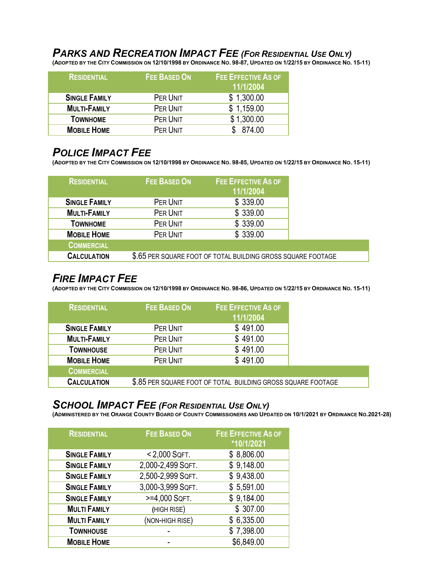# *PARKS AND RECREATION IMPACT FEE (FOR RESIDENTIAL USE ONLY)*

**(ADOPTED BY THE CITY COMMISSION ON 12/10/1998 BY ORDINANCE NO. 98-87, UPDATED ON 1/22/15 BY ORDINANCE NO. 15-11)** 

| <b>RESIDENTIAL</b>   | <b>FEE BASED ON</b> | FEE EFFECTIVE AS OF<br>11/1/2004 |
|----------------------|---------------------|----------------------------------|
| <b>SINGLE FAMILY</b> | PER UNIT            | \$1,300.00                       |
| <b>MULTI-FAMILY</b>  | PER UNIT            | \$1,159.00                       |
| <b>TOWNHOME</b>      | PER UNIT            | \$1,300.00                       |
| <b>MOBILE HOME</b>   | PER UNIT            | 874.00                           |

#### *POLICE IMPACT FEE*

**(ADOPTED BY THE CITY COMMISSION ON 12/10/1998 BY ORDINANCE NO. 98-85, UPDATED ON 1/22/15 BY ORDINANCE NO. 15-11)** 

| <b>RESIDENTIAL</b>   | <b>FEE BASED ON</b> | <b>FEE EFFECTIVE AS OF</b><br>11/1/2004                      |  |
|----------------------|---------------------|--------------------------------------------------------------|--|
| <b>SINGLE FAMILY</b> | PER UNIT            | \$339.00                                                     |  |
| <b>MULTI-FAMILY</b>  | PER UNIT            | \$339.00                                                     |  |
| <b>TOWNHOME</b>      | PER UNIT            | \$339.00                                                     |  |
| <b>MOBILE HOME</b>   | PER UNIT            | \$339.00                                                     |  |
| <b>COMMERCIAL</b>    |                     |                                                              |  |
| <b>CALCULATION</b>   |                     | \$.65 PER SQUARE FOOT OF TOTAL BUILDING GROSS SQUARE FOOTAGE |  |

#### *FIRE IMPACT FEE*

**(ADOPTED BY THE CITY COMMISSION ON 12/10/1998 BY ORDINANCE NO. 98-86, UPDATED ON 1/22/15 BY ORDINANCE NO. 15-11)** 

| <b>RESIDENTIAL</b>   | FEE BASED ON | <b>FEE EFFECTIVE AS OF</b><br>11/1/2004                      |  |
|----------------------|--------------|--------------------------------------------------------------|--|
| <b>SINGLE FAMILY</b> | PER UNIT     | \$491.00                                                     |  |
| <b>MULTI-FAMILY</b>  | PER UNIT     | \$491.00                                                     |  |
| <b>TOWNHOUSE</b>     | PER UNIT     | \$491.00                                                     |  |
| <b>MOBILE HOME</b>   | PER UNIT     | \$491.00                                                     |  |
| <b>COMMERCIAL</b>    |              |                                                              |  |
| <b>CALCULATION</b>   |              | \$.85 PER SQUARE FOOT OF TOTAL BUILDING GROSS SQUARE FOOTAGE |  |

#### *SCHOOL IMPACT FEE (FOR RESIDENTIAL USE ONLY)*

**(ADMINISTERED BY THE ORANGE COUNTY BOARD OF COUNTY COMMISSIONERS AND UPDATED ON 10/1/2021 BY ORDINANCE NO.2021-28)** 

| <b>RESIDENTIAL</b>   | <b>FEE BASED ON</b> | <b>FEE EFFECTIVE AS OF</b><br>*10/1/2021 |
|----------------------|---------------------|------------------------------------------|
| <b>SINGLE FAMILY</b> | $< 2,000$ SQFT.     | \$8,806.00                               |
| <b>SINGLE FAMILY</b> | 2,000-2,499 SQFT.   | \$9,148.00                               |
| <b>SINGLE FAMILY</b> | 2,500-2,999 SQFT.   | \$9,438.00                               |
| <b>SINGLE FAMILY</b> | 3,000-3,999 SQFT.   | \$5,591.00                               |
| <b>SINGLE FAMILY</b> | >=4,000 SQFT.       | \$9,184.00                               |
| <b>MULTI FAMILY</b>  | (HIGH RISE)         | \$307.00                                 |
| <b>MULTI FAMILY</b>  | (NON-HIGH RISE)     | \$6,335.00                               |
| <b>TOWNHOUSE</b>     |                     | \$7,398.00                               |
| <b>MOBILE HOME</b>   |                     | \$6,849.00                               |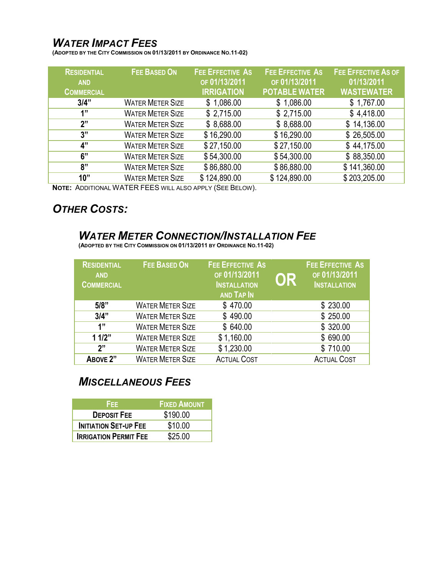## *WATER IMPACT FEES*

**(ADOPTED BY THE CITY COMMISSION ON 01/13/2011 BY ORDINANCE NO.11-02)** 

| <b>RESIDENTIAL</b> | <b>FEE BASED ON</b>     | <b>FEE EFFECTIVE AS</b> | <b>FEE EFFECTIVE AS</b> | <b>FEE EFFECTIVE AS OF</b> |
|--------------------|-------------------------|-------------------------|-------------------------|----------------------------|
| <b>AND</b>         |                         | OF 01/13/2011           | OF 01/13/2011           | 01/13/2011                 |
| <b>COMMERCIAL</b>  |                         | <b>IRRIGATION</b>       | <b>POTABLE WATER</b>    | <b>WASTEWATER</b>          |
| 3/4"               | <b>WATER METER SIZE</b> | \$1,086.00              | \$1,086.00              | \$1,767.00                 |
| 1"                 | <b>WATER METER SIZE</b> | \$2,715.00              | \$2,715.00              | \$4,418.00                 |
| 2"                 | <b>WATER METER SIZE</b> | \$8,688.00              | \$8,688.00              | \$14,136.00                |
| 3"                 | <b>WATER METER SIZE</b> | \$16,290.00             | \$16,290.00             | \$26,505.00                |
| 4"                 | <b>WATER METER SIZE</b> | \$27,150.00             | \$27,150.00             | \$44,175.00                |
| 6"                 | <b>WATER METER SIZE</b> | \$54,300.00             | \$54,300.00             | \$88,350.00                |
| 8"                 | <b>WATER METER SIZE</b> | \$86,880.00             | \$86,880.00             | \$141,360.00               |
| 10"                | <b>WATER METER SIZE</b> | \$124,890.00            | \$124,890.00            | \$203,205.00               |
|                    |                         |                         |                         |                            |

**NOTE:** ADDITIONAL WATER FEES WILL ALSO APPLY (SEE BELOW).

## *OTHER COSTS:*

## *WATER METER CONNECTION/INSTALLATION FEE*

**(ADOPTED BY THE CITY COMMISSION ON 01/13/2011 BY ORDINANCE NO.11-02)** 

| <b>RESIDENTIAL</b><br><b>AND</b><br><b>COMMERCIAL</b> | <b>FEE BASED ON</b>     | <b>FEE EFFECTIVE AS</b><br>OF 01/13/2011<br><b>INSTALLATION</b><br><b>AND TAP IN</b> | OR | <b>FEE EFFECTIVE AS</b><br>OF 01/13/2011<br><b>INSTALLATION</b> |
|-------------------------------------------------------|-------------------------|--------------------------------------------------------------------------------------|----|-----------------------------------------------------------------|
| 5/8"                                                  | <b>WATER METER SIZE</b> | \$470.00                                                                             |    | \$230.00                                                        |
| 3/4"                                                  | <b>WATER METER SIZE</b> | \$490.00                                                                             |    | \$250.00                                                        |
| 1"                                                    | <b>WATER METER SIZE</b> | \$640.00                                                                             |    | \$320.00                                                        |
| 11/2"                                                 | <b>WATER METER SIZE</b> | \$1,160.00                                                                           |    | \$690.00                                                        |
| 2"                                                    | <b>WATER METER SIZE</b> | \$1,230.00                                                                           |    | \$710.00                                                        |
| ABOVE 2"                                              | <b>WATER METER SIZE</b> | <b>ACTUAL COST</b>                                                                   |    | <b>ACTUAL COST</b>                                              |

## *MISCELLANEOUS FEES*

| FFF.                         | <b>FIXED AMOUNT</b> |
|------------------------------|---------------------|
| <b>DEPOSIT FEE</b>           | \$190.00            |
| <b>INITIATION SET-UP FEE</b> | \$10.00             |
| <b>IRRIGATION PERMIT FEE</b> | \$25.00             |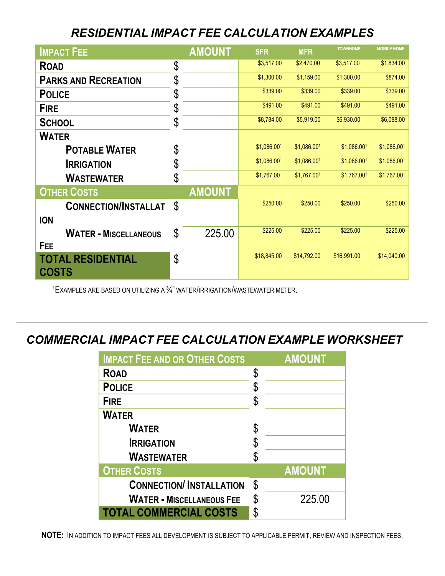# *RESIDENT AL I IMPACT FEE CALCULATION EXAMPLES*

| <b>IMPACT FEE</b>            |     | <b>AMOUNT</b> | <b>SFR</b>  | <b>MFR</b>  | <b>TOWNHOME</b> | <b>MOBILE HOME</b> |
|------------------------------|-----|---------------|-------------|-------------|-----------------|--------------------|
| <b>ROAD</b>                  | \$  |               | \$3,517.00  | \$2,470.00  | \$3,517.00      | \$1,834.00         |
| <b>PARKS AND RECREATION</b>  | \$  |               | \$1,300.00  | \$1,159.00  | \$1,300.00      | \$874.00           |
| <b>POLICE</b>                | \$  |               | \$339.00    | \$339.00    | \$339.00        | \$339.00           |
| <b>FIRE</b>                  | \$  |               | \$491.00    | \$491.00    | \$491.00        | \$491.00           |
| <b>SCHOOL</b>                | \$  |               | \$8,784.00  | \$5,919.00  | \$6,930.00      | \$6,088.00         |
| <b>WATER</b>                 |     |               |             |             |                 |                    |
| <b>POTABLE WATER</b>         | \$  |               | \$1,086.001 | \$1,086.001 | \$1,086.001     | \$1,086.001        |
| <b>IRRIGATION</b>            | \$  |               | \$1,086.001 | \$1,086.001 | \$1,086.001     | \$1,086.001        |
| <b>WASTEWATER</b>            | \$  |               | \$1,767.001 | \$1,767.001 | \$1,767.001     | \$1,767.001        |
| <b>OTHER COSTS</b>           |     | <b>AMOUNT</b> |             |             |                 |                    |
| <b>CONNECTION/INSTALLAT</b>  | -\$ |               | \$250.00    | \$250.00    | \$250.00        | \$250.00           |
| <b>ION</b>                   |     |               |             |             |                 |                    |
| <b>WATER - MISCELLANEOUS</b> | \$  | 225.00        | \$225.00    | \$225.00    | \$225.00        | \$225.00           |
| FEE                          |     |               |             |             |                 |                    |
| <b>TOTAL RESIDENTIAL</b>     | \$  |               | \$18,845.00 | \$14,792.00 | \$16,991.00     | \$14,040.00        |
| <b>COSTS</b>                 |     |               |             |             |                 |                    |

1EXAMPLES ARE BASED ON UTILIZING A ¾" WATER/IRRIGATION/WASTEWATER METER.

## *COMMERCIAL IMPACT FEE CALCULATION EXAMPLE WORKSHEET*

| <b>IMPACT FEE AND OR OTHER COSTS</b> |    | <b>AMOUNT</b> |
|--------------------------------------|----|---------------|
| <b>ROAD</b>                          | \$ |               |
| <b>POLICE</b>                        | \$ |               |
| <b>FIRE</b>                          |    |               |
| <b>WATER</b>                         |    |               |
| <b>WATER</b>                         |    |               |
| <b>IRRIGATION</b>                    | \$ |               |
| <b>WASTEWATER</b>                    |    |               |
| <b>OTHER COSTS</b>                   |    | <b>AMOUNT</b> |
| <b>CONNECTION/INSTALLATION</b>       | \$ |               |
| <b>WATER - MISCELLANEOUS FEE</b>     | S  | 225.00        |
| <b>TOTAL COMMERCIAL COSTS</b>        | \$ |               |

**NOTE:** IN ADDITION TO IMPACT FEES ALL DEVELOPMENT IS SUBJECT TO APPLICABLE PERMIT, REVIEW AND INSPECTION FEES.